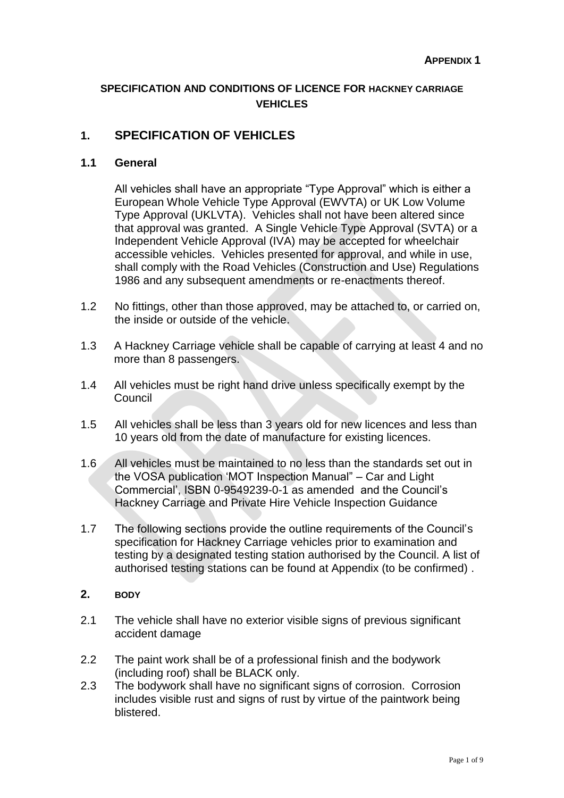# **SPECIFICATION AND CONDITIONS OF LICENCE FOR HACKNEY CARRIAGE VEHICLES**

# **1. SPECIFICATION OF VEHICLES**

# **1.1 General**

All vehicles shall have an appropriate "Type Approval" which is either a European Whole Vehicle Type Approval (EWVTA) or UK Low Volume Type Approval (UKLVTA). Vehicles shall not have been altered since that approval was granted. A Single Vehicle Type Approval (SVTA) or a Independent Vehicle Approval (IVA) may be accepted for wheelchair accessible vehicles. Vehicles presented for approval, and while in use, shall comply with the Road Vehicles (Construction and Use) Regulations 1986 and any subsequent amendments or re-enactments thereof.

- 1.2 No fittings, other than those approved, may be attached to, or carried on, the inside or outside of the vehicle.
- 1.3 A Hackney Carriage vehicle shall be capable of carrying at least 4 and no more than 8 passengers.
- 1.4 All vehicles must be right hand drive unless specifically exempt by the **Council**
- 1.5 All vehicles shall be less than 3 years old for new licences and less than 10 years old from the date of manufacture for existing licences.
- 1.6 All vehicles must be maintained to no less than the standards set out in the VOSA publication 'MOT Inspection Manual" – Car and Light Commercial', ISBN 0-9549239-0-1 as amended and the Council's Hackney Carriage and Private Hire Vehicle Inspection Guidance
- 1.7 The following sections provide the outline requirements of the Council's specification for Hackney Carriage vehicles prior to examination and testing by a designated testing station authorised by the Council. A list of authorised testing stations can be found at Appendix (to be confirmed) .
- **2. BODY**
- 2.1 The vehicle shall have no exterior visible signs of previous significant accident damage
- 2.2 The paint work shall be of a professional finish and the bodywork (including roof) shall be BLACK only.
- 2.3 The bodywork shall have no significant signs of corrosion. Corrosion includes visible rust and signs of rust by virtue of the paintwork being blistered.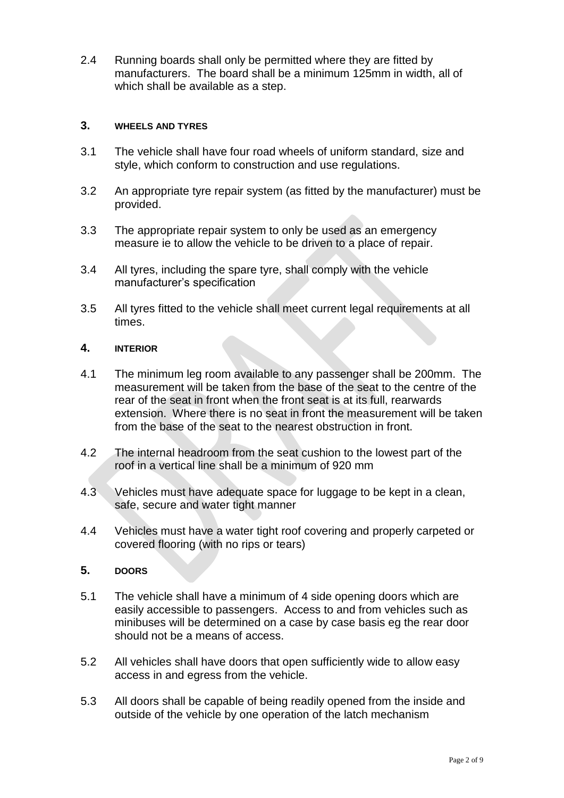2.4 Running boards shall only be permitted where they are fitted by manufacturers. The board shall be a minimum 125mm in width, all of which shall be available as a step.

#### **3. WHEELS AND TYRES**

- 3.1 The vehicle shall have four road wheels of uniform standard, size and style, which conform to construction and use regulations.
- 3.2 An appropriate tyre repair system (as fitted by the manufacturer) must be provided.
- 3.3 The appropriate repair system to only be used as an emergency measure ie to allow the vehicle to be driven to a place of repair.
- 3.4 All tyres, including the spare tyre, shall comply with the vehicle manufacturer's specification
- 3.5 All tyres fitted to the vehicle shall meet current legal requirements at all times.

## **4. INTERIOR**

- 4.1 The minimum leg room available to any passenger shall be 200mm. The measurement will be taken from the base of the seat to the centre of the rear of the seat in front when the front seat is at its full, rearwards extension. Where there is no seat in front the measurement will be taken from the base of the seat to the nearest obstruction in front.
- 4.2 The internal headroom from the seat cushion to the lowest part of the roof in a vertical line shall be a minimum of 920 mm
- 4.3 Vehicles must have adequate space for luggage to be kept in a clean, safe, secure and water tight manner
- 4.4 Vehicles must have a water tight roof covering and properly carpeted or covered flooring (with no rips or tears)

#### **5. DOORS**

- 5.1 The vehicle shall have a minimum of 4 side opening doors which are easily accessible to passengers. Access to and from vehicles such as minibuses will be determined on a case by case basis eg the rear door should not be a means of access.
- 5.2 All vehicles shall have doors that open sufficiently wide to allow easy access in and egress from the vehicle.
- 5.3 All doors shall be capable of being readily opened from the inside and outside of the vehicle by one operation of the latch mechanism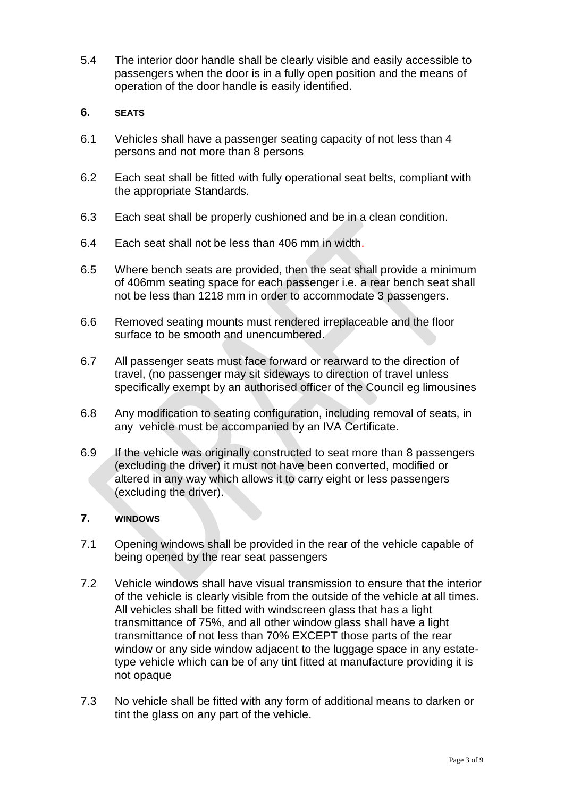5.4 The interior door handle shall be clearly visible and easily accessible to passengers when the door is in a fully open position and the means of operation of the door handle is easily identified.

## **6. SEATS**

- 6.1 Vehicles shall have a passenger seating capacity of not less than 4 persons and not more than 8 persons
- 6.2 Each seat shall be fitted with fully operational seat belts, compliant with the appropriate Standards.
- 6.3 Each seat shall be properly cushioned and be in a clean condition.
- 6.4 Each seat shall not be less than 406 mm in width.
- 6.5 Where bench seats are provided, then the seat shall provide a minimum of 406mm seating space for each passenger i.e. a rear bench seat shall not be less than 1218 mm in order to accommodate 3 passengers.
- 6.6 Removed seating mounts must rendered irreplaceable and the floor surface to be smooth and unencumbered.
- 6.7 All passenger seats must face forward or rearward to the direction of travel, (no passenger may sit sideways to direction of travel unless specifically exempt by an authorised officer of the Council eg limousines
- 6.8 Any modification to seating configuration, including removal of seats, in any vehicle must be accompanied by an IVA Certificate.
- 6.9 If the vehicle was originally constructed to seat more than 8 passengers (excluding the driver) it must not have been converted, modified or altered in any way which allows it to carry eight or less passengers (excluding the driver).

#### **7. WINDOWS**

- 7.1 Opening windows shall be provided in the rear of the vehicle capable of being opened by the rear seat passengers
- 7.2 Vehicle windows shall have visual transmission to ensure that the interior of the vehicle is clearly visible from the outside of the vehicle at all times. All vehicles shall be fitted with windscreen glass that has a light transmittance of 75%, and all other window glass shall have a light transmittance of not less than 70% EXCEPT those parts of the rear window or any side window adjacent to the luggage space in any estatetype vehicle which can be of any tint fitted at manufacture providing it is not opaque
- 7.3 No vehicle shall be fitted with any form of additional means to darken or tint the glass on any part of the vehicle.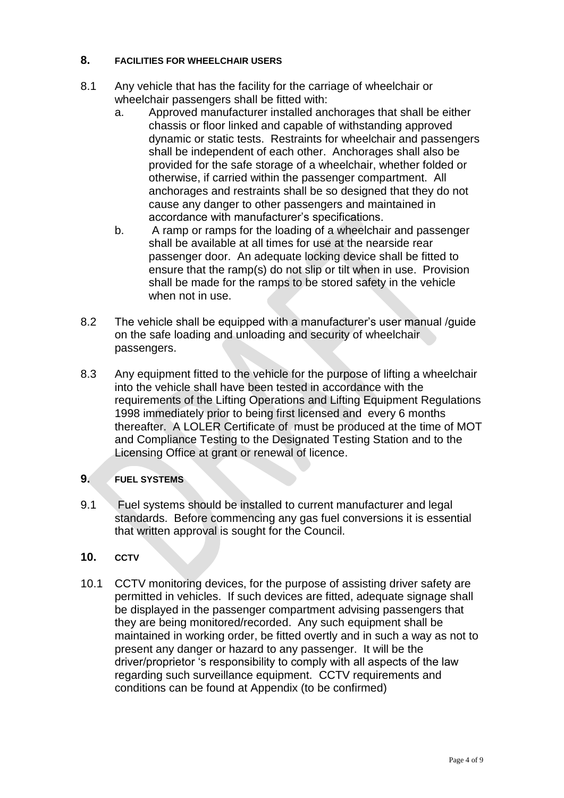## **8. FACILITIES FOR WHEELCHAIR USERS**

- 8.1 Any vehicle that has the facility for the carriage of wheelchair or wheelchair passengers shall be fitted with:
	- a. Approved manufacturer installed anchorages that shall be either chassis or floor linked and capable of withstanding approved dynamic or static tests. Restraints for wheelchair and passengers shall be independent of each other. Anchorages shall also be provided for the safe storage of a wheelchair, whether folded or otherwise, if carried within the passenger compartment. All anchorages and restraints shall be so designed that they do not cause any danger to other passengers and maintained in accordance with manufacturer's specifications.
	- b. A ramp or ramps for the loading of a wheelchair and passenger shall be available at all times for use at the nearside rear passenger door. An adequate locking device shall be fitted to ensure that the ramp(s) do not slip or tilt when in use. Provision shall be made for the ramps to be stored safety in the vehicle when not in use.
- 8.2 The vehicle shall be equipped with a manufacturer's user manual /guide on the safe loading and unloading and security of wheelchair passengers.
- 8.3 Any equipment fitted to the vehicle for the purpose of lifting a wheelchair into the vehicle shall have been tested in accordance with the requirements of the Lifting Operations and Lifting Equipment Regulations 1998 immediately prior to being first licensed and every 6 months thereafter. A LOLER Certificate of must be produced at the time of MOT and Compliance Testing to the Designated Testing Station and to the Licensing Office at grant or renewal of licence.
- **9. FUEL SYSTEMS**
- 9.1 Fuel systems should be installed to current manufacturer and legal standards. Before commencing any gas fuel conversions it is essential that written approval is sought for the Council.
- **10. CCTV**
- 10.1 CCTV monitoring devices, for the purpose of assisting driver safety are permitted in vehicles. If such devices are fitted, adequate signage shall be displayed in the passenger compartment advising passengers that they are being monitored/recorded. Any such equipment shall be maintained in working order, be fitted overtly and in such a way as not to present any danger or hazard to any passenger. It will be the driver/proprietor 's responsibility to comply with all aspects of the law regarding such surveillance equipment. CCTV requirements and conditions can be found at Appendix (to be confirmed)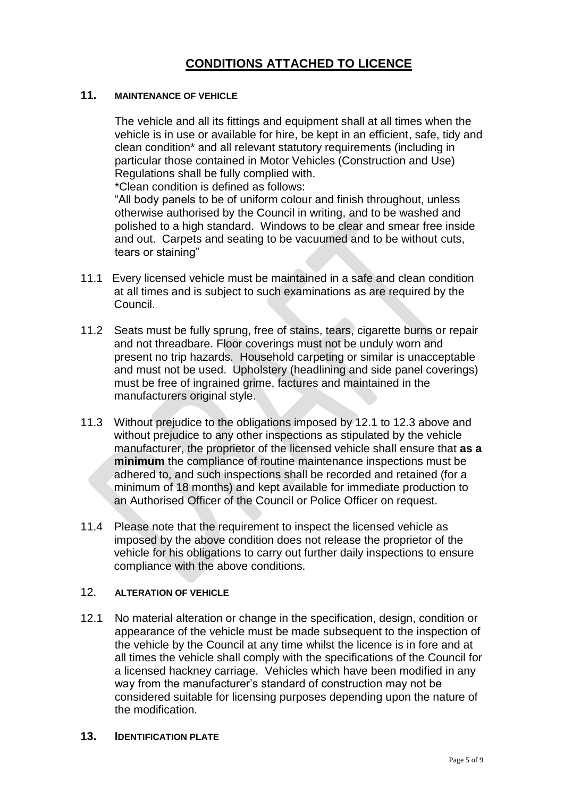# **CONDITIONS ATTACHED TO LICENCE**

#### **11. MAINTENANCE OF VEHICLE**

The vehicle and all its fittings and equipment shall at all times when the vehicle is in use or available for hire, be kept in an efficient, safe, tidy and clean condition\* and all relevant statutory requirements (including in particular those contained in Motor Vehicles (Construction and Use) Regulations shall be fully complied with.

\*Clean condition is defined as follows:

"All body panels to be of uniform colour and finish throughout, unless otherwise authorised by the Council in writing, and to be washed and polished to a high standard. Windows to be clear and smear free inside and out. Carpets and seating to be vacuumed and to be without cuts, tears or staining"

- 11.1 Every licensed vehicle must be maintained in a safe and clean condition at all times and is subject to such examinations as are required by the Council.
- 11.2 Seats must be fully sprung, free of stains, tears, cigarette burns or repair and not threadbare. Floor coverings must not be unduly worn and present no trip hazards. Household carpeting or similar is unacceptable and must not be used. Upholstery (headlining and side panel coverings) must be free of ingrained grime, factures and maintained in the manufacturers original style.
- 11.3 Without prejudice to the obligations imposed by 12.1 to 12.3 above and without prejudice to any other inspections as stipulated by the vehicle manufacturer, the proprietor of the licensed vehicle shall ensure that **as a minimum** the compliance of routine maintenance inspections must be adhered to, and such inspections shall be recorded and retained (for a minimum of 18 months) and kept available for immediate production to an Authorised Officer of the Council or Police Officer on request.
- 11.4 Please note that the requirement to inspect the licensed vehicle as imposed by the above condition does not release the proprietor of the vehicle for his obligations to carry out further daily inspections to ensure compliance with the above conditions.

#### 12. **ALTERATION OF VEHICLE**

12.1 No material alteration or change in the specification, design, condition or appearance of the vehicle must be made subsequent to the inspection of the vehicle by the Council at any time whilst the licence is in fore and at all times the vehicle shall comply with the specifications of the Council for a licensed hackney carriage. Vehicles which have been modified in any way from the manufacturer's standard of construction may not be considered suitable for licensing purposes depending upon the nature of the modification.

## **13. IDENTIFICATION PLATE**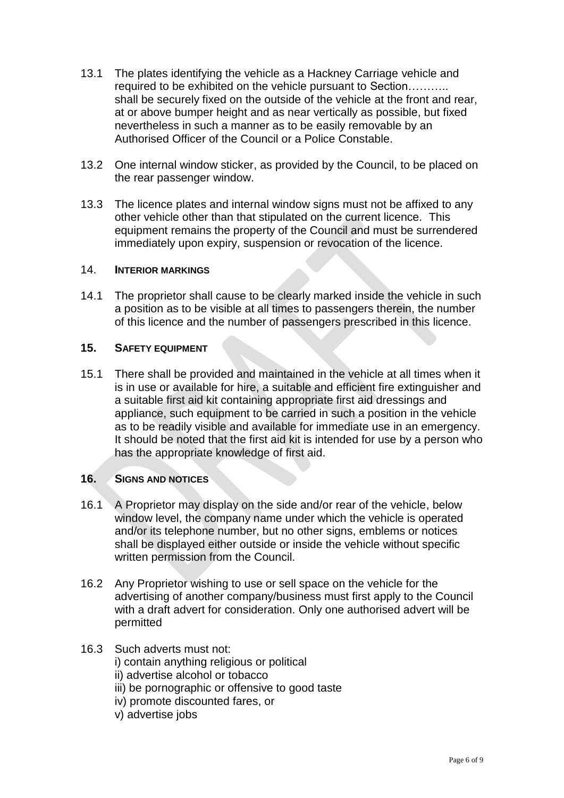- 13.1 The plates identifying the vehicle as a Hackney Carriage vehicle and required to be exhibited on the vehicle pursuant to Section……….. shall be securely fixed on the outside of the vehicle at the front and rear, at or above bumper height and as near vertically as possible, but fixed nevertheless in such a manner as to be easily removable by an Authorised Officer of the Council or a Police Constable.
- 13.2 One internal window sticker, as provided by the Council, to be placed on the rear passenger window.
- 13.3 The licence plates and internal window signs must not be affixed to any other vehicle other than that stipulated on the current licence. This equipment remains the property of the Council and must be surrendered immediately upon expiry, suspension or revocation of the licence.

#### 14. **INTERIOR MARKINGS**

14.1 The proprietor shall cause to be clearly marked inside the vehicle in such a position as to be visible at all times to passengers therein, the number of this licence and the number of passengers prescribed in this licence.

## **15. SAFETY EQUIPMENT**

15.1 There shall be provided and maintained in the vehicle at all times when it is in use or available for hire, a suitable and efficient fire extinguisher and a suitable first aid kit containing appropriate first aid dressings and appliance, such equipment to be carried in such a position in the vehicle as to be readily visible and available for immediate use in an emergency. It should be noted that the first aid kit is intended for use by a person who has the appropriate knowledge of first aid.

#### **16. SIGNS AND NOTICES**

- 16.1 A Proprietor may display on the side and/or rear of the vehicle, below window level, the company name under which the vehicle is operated and/or its telephone number, but no other signs, emblems or notices shall be displayed either outside or inside the vehicle without specific written permission from the Council.
- 16.2 Any Proprietor wishing to use or sell space on the vehicle for the advertising of another company/business must first apply to the Council with a draft advert for consideration. Only one authorised advert will be permitted

#### 16.3 Such adverts must not:

- i) contain anything religious or political
- ii) advertise alcohol or tobacco
- iii) be pornographic or offensive to good taste
- iv) promote discounted fares, or
- v) advertise jobs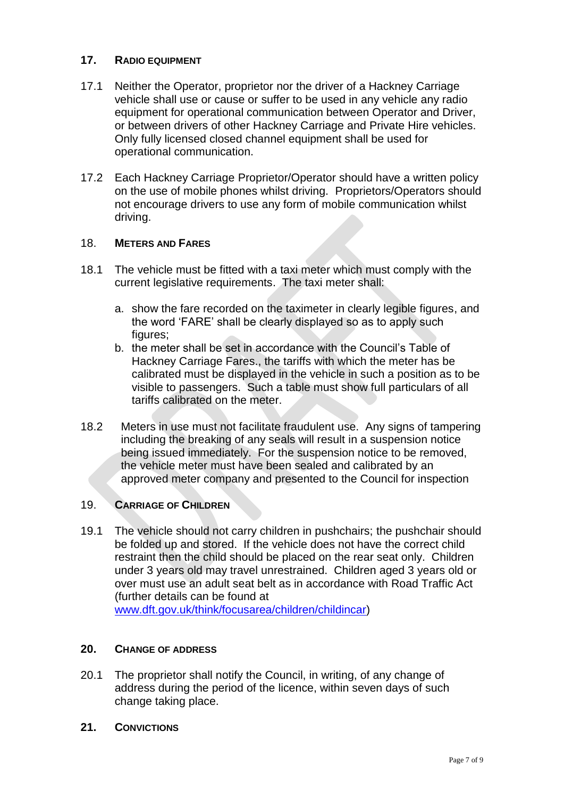# **17. RADIO EQUIPMENT**

- 17.1 Neither the Operator, proprietor nor the driver of a Hackney Carriage vehicle shall use or cause or suffer to be used in any vehicle any radio equipment for operational communication between Operator and Driver, or between drivers of other Hackney Carriage and Private Hire vehicles. Only fully licensed closed channel equipment shall be used for operational communication.
- 17.2 Each Hackney Carriage Proprietor/Operator should have a written policy on the use of mobile phones whilst driving. Proprietors/Operators should not encourage drivers to use any form of mobile communication whilst driving.

# 18. **METERS AND FARES**

- 18.1 The vehicle must be fitted with a taxi meter which must comply with the current legislative requirements. The taxi meter shall:
	- a. show the fare recorded on the taximeter in clearly legible figures, and the word 'FARE' shall be clearly displayed so as to apply such figures:
	- b. the meter shall be set in accordance with the Council's Table of Hackney Carriage Fares., the tariffs with which the meter has be calibrated must be displayed in the vehicle in such a position as to be visible to passengers. Such a table must show full particulars of all tariffs calibrated on the meter.
- 18.2 Meters in use must not facilitate fraudulent use. Any signs of tampering including the breaking of any seals will result in a suspension notice being issued immediately. For the suspension notice to be removed, the vehicle meter must have been sealed and calibrated by an approved meter company and presented to the Council for inspection

# 19. **CARRIAGE OF CHILDREN**

19.1 The vehicle should not carry children in pushchairs; the pushchair should be folded up and stored. If the vehicle does not have the correct child restraint then the child should be placed on the rear seat only. Children under 3 years old may travel unrestrained. Children aged 3 years old or over must use an adult seat belt as in accordance with Road Traffic Act (further details can be found at

[www.dft.gov.uk/think/focusarea/children/childincar\)](http://www.dft.gov.uk/think/focusarea/children/childincar)

# **20. CHANGE OF ADDRESS**

- 20.1 The proprietor shall notify the Council, in writing, of any change of address during the period of the licence, within seven days of such change taking place.
- **21. CONVICTIONS**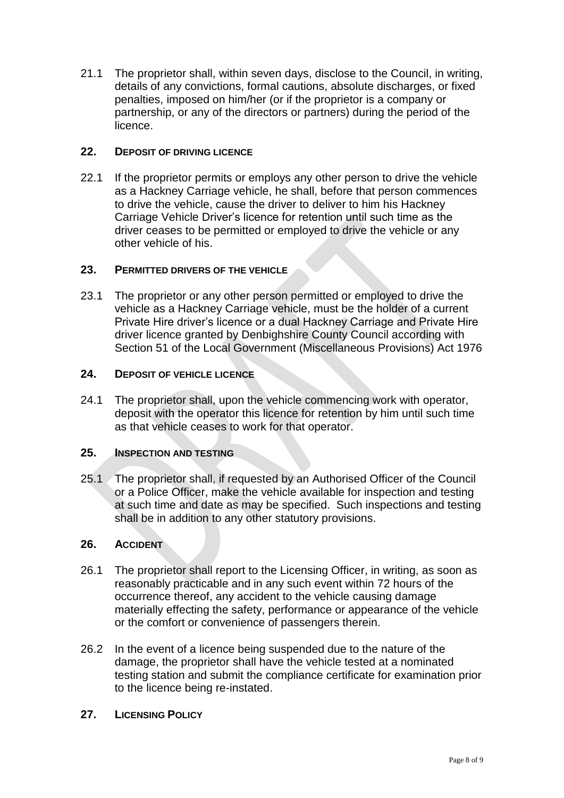21.1 The proprietor shall, within seven days, disclose to the Council, in writing, details of any convictions, formal cautions, absolute discharges, or fixed penalties, imposed on him/her (or if the proprietor is a company or partnership, or any of the directors or partners) during the period of the licence.

# **22. DEPOSIT OF DRIVING LICENCE**

22.1 If the proprietor permits or employs any other person to drive the vehicle as a Hackney Carriage vehicle, he shall, before that person commences to drive the vehicle, cause the driver to deliver to him his Hackney Carriage Vehicle Driver's licence for retention until such time as the driver ceases to be permitted or employed to drive the vehicle or any other vehicle of his.

## **23. PERMITTED DRIVERS OF THE VEHICLE**

23.1 The proprietor or any other person permitted or employed to drive the vehicle as a Hackney Carriage vehicle, must be the holder of a current Private Hire driver's licence or a dual Hackney Carriage and Private Hire driver licence granted by Denbighshire County Council according with Section 51 of the Local Government (Miscellaneous Provisions) Act 1976

## **24. DEPOSIT OF VEHICLE LICENCE**

24.1 The proprietor shall, upon the vehicle commencing work with operator, deposit with the operator this licence for retention by him until such time as that vehicle ceases to work for that operator.

# **25. INSPECTION AND TESTING**

25.1 The proprietor shall, if requested by an Authorised Officer of the Council or a Police Officer, make the vehicle available for inspection and testing at such time and date as may be specified. Such inspections and testing shall be in addition to any other statutory provisions.

#### **26. ACCIDENT**

- 26.1 The proprietor shall report to the Licensing Officer, in writing, as soon as reasonably practicable and in any such event within 72 hours of the occurrence thereof, any accident to the vehicle causing damage materially effecting the safety, performance or appearance of the vehicle or the comfort or convenience of passengers therein.
- 26.2 In the event of a licence being suspended due to the nature of the damage, the proprietor shall have the vehicle tested at a nominated testing station and submit the compliance certificate for examination prior to the licence being re-instated.
- **27. LICENSING POLICY**